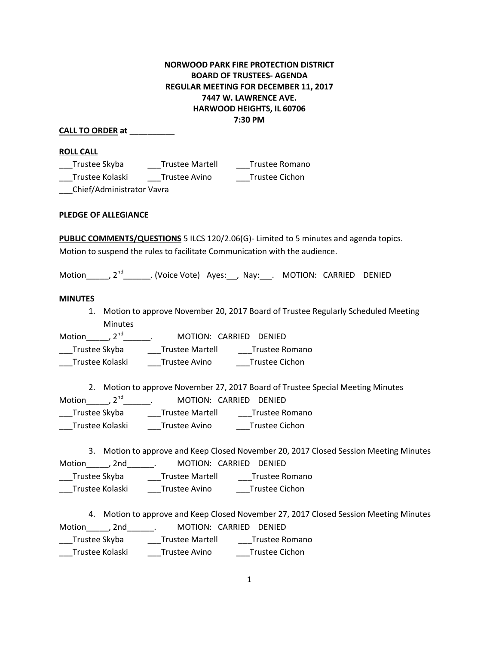# **NORWOOD PARK FIRE PROTECTION DISTRICT BOARD OF TRUSTEES- AGENDA REGULAR MEETING FOR DECEMBER 11, 2017 7447 W. LAWRENCE AVE. HARWOOD HEIGHTS, IL 60706 7:30 PM**

## **CALL TO ORDER at** \_\_\_\_\_\_\_\_\_\_

**ROLL CALL**

| Trustee Skyba                                                                                                                                                                                                                                                                                                                                         | <b>Trustee Martell</b> | Trustee Romano |
|-------------------------------------------------------------------------------------------------------------------------------------------------------------------------------------------------------------------------------------------------------------------------------------------------------------------------------------------------------|------------------------|----------------|
| Trustee Kolaski                                                                                                                                                                                                                                                                                                                                       | Trustee Avino          | Trustee Cichon |
| $C_0$ $\left($ $\left($ $\right)$ $\left($ $\right)$ $\left($ $\left($ $\right)$ $\left($ $\left($ $\right)$ $\left($ $\left($ $\right)$ $\left($ $\left($ $\right)$ $\left($ $\left($ $\right)$ $\left($ $\left($ $\right)$ $\left($ $\left($ $\right)$ $\left($ $\left($ $\right)$ $\left($ $\left($ $\right)$ $\left($ $\left($ $\right)$ $\left($ |                        |                |

\_\_\_Chief/Administrator Vavra

### **PLEDGE OF ALLEGIANCE**

**PUBLIC COMMENTS/QUESTIONS** 5 ILCS 120/2.06(G)- Limited to 5 minutes and agenda topics. Motion to suspend the rules to facilitate Communication with the audience.

Motion\_\_\_\_\_, 2<sup>nd</sup>\_\_\_\_\_\_\_. (Voice Vote) Ayes:\_\_\_, Nay:\_\_\_. MOTION: CARRIED DENIED

### **MINUTES**

1. Motion to approve November 20, 2017 Board of Trustee Regularly Scheduled Meeting Minutes

Motion\_\_\_\_\_\_, 2<sup>nd</sup>\_\_\_\_\_\_\_\_. MOTION: CARRIED DENIED \_\_\_Trustee Skyba \_\_\_Trustee Martell \_\_\_Trustee Romano \_\_\_Trustee Kolaski \_\_\_Trustee Avino \_\_\_Trustee Cichon

2. Motion to approve November 27, 2017 Board of Trustee Special Meeting Minutes

Motion\_\_\_\_\_\_, 2<sup>nd</sup>\_\_\_\_\_\_\_\_. MOTION: CARRIED DENIED \_\_\_Trustee Skyba \_\_\_Trustee Martell \_\_\_Trustee Romano

\_\_\_Trustee Kolaski \_\_\_Trustee Avino \_\_\_Trustee Cichon

3. Motion to approve and Keep Closed November 20, 2017 Closed Session Meeting Minutes

| Trustee Skyba<br><b>Trustee Martell</b> | Motion , 2nd | MOTION: CARRIED DENIED |
|-----------------------------------------|--------------|------------------------|
|                                         |              | Trustee Romano         |

\_\_\_Trustee Kolaski \_\_\_Trustee Avino \_\_\_Trustee Cichon

4. Motion to approve and Keep Closed November 27, 2017 Closed Session Meeting Minutes Motion , 2nd \_\_\_\_\_\_. MOTION: CARRIED DENIED \_\_\_Trustee Skyba \_\_\_Trustee Martell \_\_\_Trustee Romano \_\_\_Trustee Kolaski \_\_\_Trustee Avino \_\_\_Trustee Cichon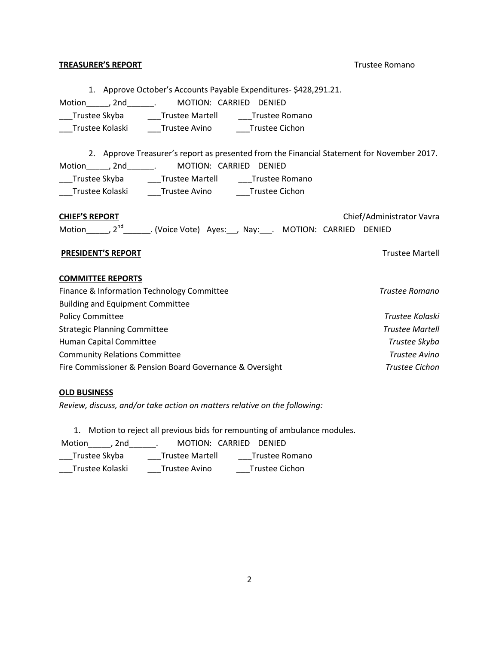### **TREASURER'S REPORT** TREASURER'S REPORT

1. Approve October's Accounts Payable Expenditures- \$428,291.21.

Motion\_\_\_\_\_, 2nd\_\_\_\_\_\_. MOTION: CARRIED DENIED

\_\_\_Trustee Skyba \_\_\_\_\_Trustee Martell \_\_\_\_\_\_Trustee Romano \_\_\_Trustee Kolaski \_\_\_Trustee Avino \_\_\_Trustee Cichon

2. Approve Treasurer's report as presented from the Financial Statement for November 2017. Motion\_\_\_\_\_, 2nd\_\_\_\_\_\_. MOTION: CARRIED DENIED \_\_\_Trustee Skyba \_\_\_Trustee Martell \_\_\_Trustee Romano \_\_\_Trustee Kolaski \_\_\_Trustee Avino \_\_\_Trustee Cichon

| <b>CHIEF'S REPORT</b> |          |                                                            |  |  | Chief/Administrator Vavra |  |
|-----------------------|----------|------------------------------------------------------------|--|--|---------------------------|--|
| Motion                | $2^{nd}$ | _. (Voice Vote) Ayes: __, Nay:____. MOTION: CARRIED DENIED |  |  |                           |  |

### **PRESIDENT'S REPORT** THE RESIDENT'S REPORT

### **COMMITTEE REPORTS**

| Finance & Information Technology Committee               | Trustee Romano         |
|----------------------------------------------------------|------------------------|
| <b>Building and Equipment Committee</b>                  |                        |
| <b>Policy Committee</b>                                  | Trustee Kolaski        |
| <b>Strategic Planning Committee</b>                      | <b>Trustee Martell</b> |
| Human Capital Committee                                  | Trustee Skyba          |
| <b>Community Relations Committee</b>                     | Trustee Avino          |
| Fire Commissioner & Pension Board Governance & Oversight | Trustee Cichon         |

### **OLD BUSINESS**

*Review, discuss, and/or take action on matters relative on the following:*

1. Motion to reject all previous bids for remounting of ambulance modules.

Motion\_\_\_\_\_, 2nd\_\_\_\_\_\_. MOTION: CARRIED DENIED

| Trustee Skyba | Trustee Martell | Trustee Romano |
|---------------|-----------------|----------------|
|               |                 |                |

\_\_\_Trustee Kolaski \_\_\_Trustee Avino \_\_\_Trustee Cichon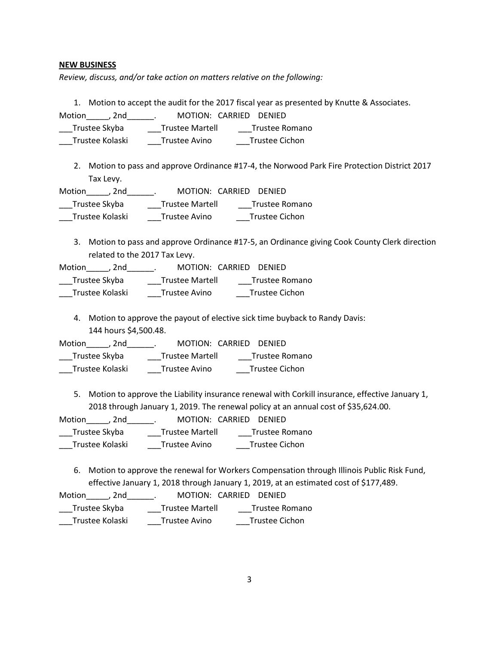### **NEW BUSINESS**

*Review, discuss, and/or take action on matters relative on the following:*

1. Motion to accept the audit for the 2017 fiscal year as presented by Knutte & Associates.

Motion , 2nd \_\_\_\_\_. MOTION: CARRIED DENIED

\_\_\_Trustee Skyba \_\_\_Trustee Martell \_\_\_Trustee Romano

\_\_\_Trustee Kolaski \_\_\_Trustee Avino \_\_\_Trustee Cichon

2. Motion to pass and approve Ordinance #17-4, the Norwood Park Fire Protection District 2017 Tax Levy.

| Motion<br>. 2nd | MOTION: CARRIED DENIED |                |
|-----------------|------------------------|----------------|
| Trustee Skyba   | <b>Trustee Martell</b> | Trustee Romano |
| Trustee Kolaski | Trustee Avino          | Trustee Cichon |

3. Motion to pass and approve Ordinance #17-5, an Ordinance giving Cook County Clerk direction related to the 2017 Tax Levy.

Motion\_\_\_\_\_, 2nd\_\_\_\_\_\_. MOTION: CARRIED DENIED

| Trustee Skyba   | <b>Trustee Martell</b> | Trustee Romano        |
|-----------------|------------------------|-----------------------|
| Trustee Kolaski | Trustee Avino          | <b>Trustee Cichon</b> |

4. Motion to approve the payout of elective sick time buyback to Randy Davis: 144 hours \$4,500.48.

| Motion<br>. 2nd |                        | MOTION: CARRIED DENIED |
|-----------------|------------------------|------------------------|
| Trustee Skyba   | <b>Trustee Martell</b> | Trustee Romano         |
| Trustee Kolaski | Trustee Avino          | Trustee Cichon         |

5. Motion to approve the Liability insurance renewal with Corkill insurance, effective January 1, 2018 through January 1, 2019. The renewal policy at an annual cost of \$35,624.00.

| <b>Motion</b><br>2nd |                        | MOTION: CARRIED DENIED |
|----------------------|------------------------|------------------------|
| Trustee Skyba        | <b>Trustee Martell</b> | Trustee Romano         |
| Trustee Kolaski      | Trustee Avino          | <b>Trustee Cichon</b>  |

6. Motion to approve the renewal for Workers Compensation through Illinois Public Risk Fund, effective January 1, 2018 through January 1, 2019, at an estimated cost of \$177,489.

| Motion<br>. 2nd | MOTION: CARRIED DENIED |                |
|-----------------|------------------------|----------------|
| Trustee Skyba   | <b>Trustee Martell</b> | Trustee Romano |
| Trustee Kolaski | Trustee Avino          | Trustee Cichon |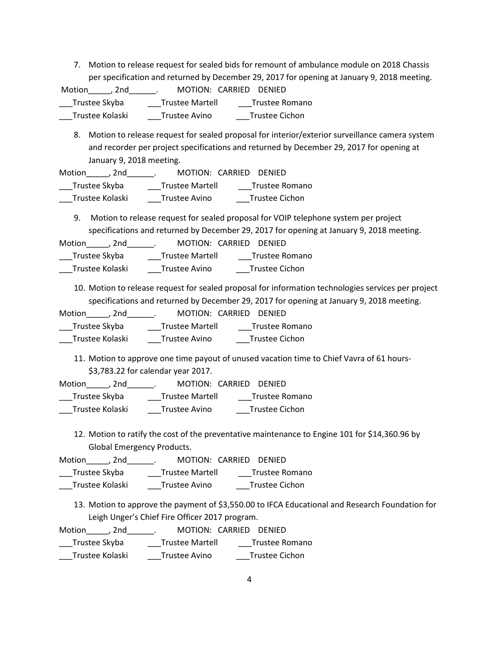7. Motion to release request for sealed bids for remount of ambulance module on 2018 Chassis per specification and returned by December 29, 2017 for opening at January 9, 2018 meeting.

Motion , 2nd \_\_\_\_\_\_. MOTION: CARRIED DENIED \_\_\_Trustee Skyba \_\_\_Trustee Martell \_\_\_Trustee Romano \_\_\_Trustee Kolaski \_\_\_Trustee Avino \_\_\_Trustee Cichon

8. Motion to release request for sealed proposal for interior/exterior surveillance camera system and recorder per project specifications and returned by December 29, 2017 for opening at January 9, 2018 meeting.

Motion , 2nd . MOTION: CARRIED DENIED \_Trustee Skyba \_\_\_\_\_\_Trustee Martell \_\_\_\_\_\_Trustee Romano \_\_\_Trustee Kolaski \_\_\_Trustee Avino \_\_\_Trustee Cichon

9. Motion to release request for sealed proposal for VOIP telephone system per project specifications and returned by December 29, 2017 for opening at January 9, 2018 meeting.

Motion , 2nd . MOTION: CARRIED DENIED \_\_\_Trustee Skyba \_\_\_Trustee Martell \_\_\_Trustee Romano \_\_\_Trustee Kolaski \_\_\_Trustee Avino \_\_\_Trustee Cichon

10. Motion to release request for sealed proposal for information technologies services per project specifications and returned by December 29, 2017 for opening at January 9, 2018 meeting.

| Motion<br>. 2nd |                        | MOTION: CARRIED DENIED |
|-----------------|------------------------|------------------------|
| Trustee Skyba   | <b>Trustee Martell</b> | Trustee Romano         |
| Trustee Kolaski | Trustee Avino          | Trustee Cichon         |

11. Motion to approve one time payout of unused vacation time to Chief Vavra of 61 hours- \$3,783.22 for calendar year 2017.

| Motion<br>. 2nd |                        | MOTION: CARRIED DENIED |
|-----------------|------------------------|------------------------|
| Trustee Skyba   | <b>Trustee Martell</b> | Trustee Romano         |
| Trustee Kolaski | Trustee Avino          | Trustee Cichon         |

12. Motion to ratify the cost of the preventative maintenance to Engine 101 for \$14,360.96 by Global Emergency Products.

| <b>Motion</b><br>. 2nd | MOTION: CARRIED DENIED |                |
|------------------------|------------------------|----------------|
| Trustee Skyba          | <b>Trustee Martell</b> | Trustee Romano |
| Trustee Kolaski        | Trustee Avino          | Trustee Cichon |

13. Motion to approve the payment of \$3,550.00 to IFCA Educational and Research Foundation for Leigh Unger's Chief Fire Officer 2017 program.

| Motion<br>. 2nd |                        | MOTION: CARRIED DENIED |
|-----------------|------------------------|------------------------|
| Trustee Skyba   | <b>Trustee Martell</b> | Trustee Romano         |
| Trustee Kolaski | Trustee Avino          | Trustee Cichon         |